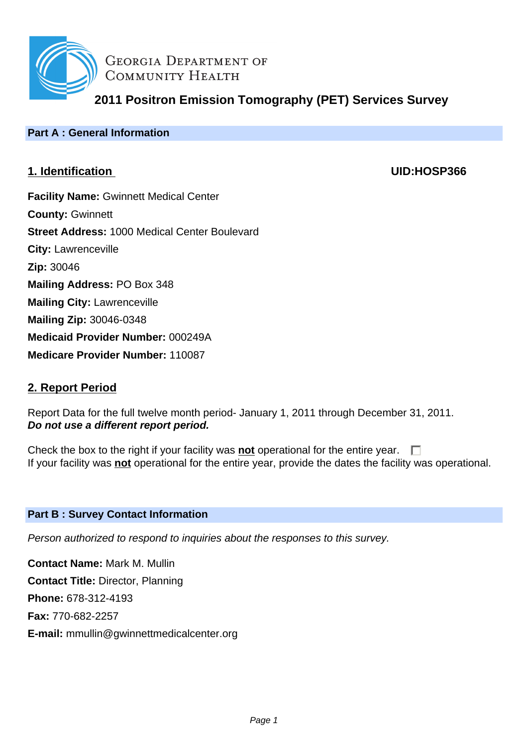

**GEORGIA DEPARTMENT OF** COMMUNITY HEALTH

**2011 Positron Emission Tomography (PET) Services Survey**

# **Part A : General Information**

# **1. Identification UID:HOSP366**

**Facility Name:** Gwinnett Medical Center **County:** Gwinnett **Street Address:** 1000 Medical Center Boulevard **City:** Lawrenceville **Zip:** 30046 **Mailing Address:** PO Box 348 **Mailing City:** Lawrenceville **Mailing Zip:** 30046-0348 **Medicaid Provider Number:** 000249A **Medicare Provider Number:** 110087

# **2. Report Period**

Report Data for the full twelve month period- January 1, 2011 through December 31, 2011. **Do not use a different report period.**

Check the box to the right if your facility was **not** operational for the entire year.  $\Box$ If your facility was **not** operational for the entire year, provide the dates the facility was operational.

# **Part B : Survey Contact Information**

Person authorized to respond to inquiries about the responses to this survey.

**Contact Name:** Mark M. Mullin **Contact Title:** Director, Planning **Phone:** 678-312-4193 **Fax:** 770-682-2257 **E-mail:** mmullin@gwinnettmedicalcenter.org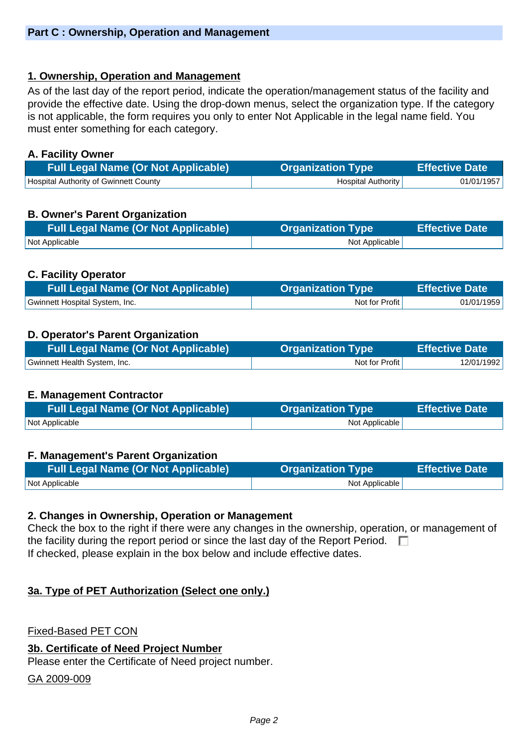# **1. Ownership, Operation and Management**

As of the last day of the report period, indicate the operation/management status of the facility and provide the effective date. Using the drop-down menus, select the organization type. If the category is not applicable, the form requires you only to enter Not Applicable in the legal name field. You must enter something for each category.

## **A. Facility Owner**

| <b>Full Legal Name (Or Not Applicable)</b> | <b>Organization Type</b> | <b>Effective Date</b> |
|--------------------------------------------|--------------------------|-----------------------|
| Hospital Authority of Gwinnett County      | Hospital Authority       | 01/01/1957            |

# **B. Owner's Parent Organization**

| <b>Full Legal Name (Or Not Applicable)</b> | <b>Organization Type</b> | <b>Effective Date</b> |
|--------------------------------------------|--------------------------|-----------------------|
| <b>Not Applicable</b>                      | Not Applicable           |                       |

# **C. Facility Operator**

| <b>Full Legal Name (Or Not Applicable)</b> | <b>Organization Type</b> | <b>Effective Date</b> |
|--------------------------------------------|--------------------------|-----------------------|
| Gwinnett Hospital System, Inc.             | Not for Profit           | 01/01/1959            |

# **D. Operator's Parent Organization**

| <b>Full Legal Name (Or Not Applicable)</b> | <b>Organization Type</b> | Effective Date \ |
|--------------------------------------------|--------------------------|------------------|
| Gwinnett Health System, Inc.               | Not for Profit           | 12/01/1992       |

### **E. Management Contractor**

| <b>Full Legal Name (Or Not Applicable)</b> | <b>Organization Type</b> | Effective Date |
|--------------------------------------------|--------------------------|----------------|
| Not Applicable                             | Not Applicable           |                |

### **F. Management's Parent Organization**

| <b>Full Legal Name (Or Not Applicable)</b> | <b>Organization Type</b> | <b>Effective Date</b> |
|--------------------------------------------|--------------------------|-----------------------|
| Not Applicable                             | Not Applicable           |                       |

### **2. Changes in Ownership, Operation or Management**

Check the box to the right if there were any changes in the ownership, operation, or management of the facility during the report period or since the last day of the Report Period.  $\Box$ If checked, please explain in the box below and include effective dates.

### **3a. Type of PET Authorization (Select one only.)**

Fixed-Based PET CON

### **3b. Certificate of Need Project Number**

Please enter the Certificate of Need project number.

GA 2009-009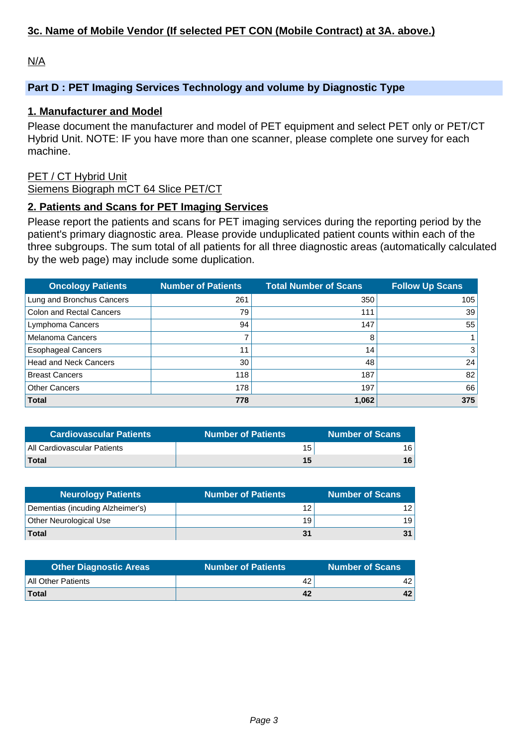# **3c. Name of Mobile Vendor (If selected PET CON (Mobile Contract) at 3A. above.)**

N/A

# **Part D : PET Imaging Services Technology and volume by Diagnostic Type**

### **1. Manufacturer and Model**

Please document the manufacturer and model of PET equipment and select PET only or PET/CT Hybrid Unit. NOTE: IF you have more than one scanner, please complete one survey for each machine.

## PET / CT Hybrid Unit

Siemens Biograph mCT 64 Slice PET/CT

### **2. Patients and Scans for PET Imaging Services**

Please report the patients and scans for PET imaging services during the reporting period by the patient's primary diagnostic area. Please provide unduplicated patient counts within each of the three subgroups. The sum total of all patients for all three diagnostic areas (automatically calculated by the web page) may include some duplication.

| <b>Oncology Patients</b>        | <b>Number of Patients</b> | <b>Total Number of Scans</b> | <b>Follow Up Scans</b> |
|---------------------------------|---------------------------|------------------------------|------------------------|
| Lung and Bronchus Cancers       | 261                       | 350                          | 105                    |
| <b>Colon and Rectal Cancers</b> | 79                        | 111                          | 39                     |
| Lymphoma Cancers                | 94                        | 147                          | 55                     |
| <b>Melanoma Cancers</b>         |                           | 8                            |                        |
| <b>Esophageal Cancers</b>       | 11                        | 14 <sub>1</sub>              | $\lvert 3 \rvert$      |
| <b>Head and Neck Cancers</b>    | 30                        | 48                           | 24                     |
| <b>Breast Cancers</b>           | 118                       | 187                          | 82                     |
| <b>Other Cancers</b>            | 178                       | 197                          | 66                     |
| <b>Total</b>                    | 778                       | 1,062                        | 375                    |

| <b>Cardiovascular Patients</b> | <b>Number of Patients</b> | <b>Number of Scans</b> |
|--------------------------------|---------------------------|------------------------|
| All Cardiovascular Patients    | 15                        | 16.                    |
| <b>Total</b>                   | 15                        | 16                     |

| <b>Neurology Patients</b>        | <b>Number of Patients</b> | Number of Scans |
|----------------------------------|---------------------------|-----------------|
| Dementias (incuding Alzheimer's) | 12                        | 12.             |
| Other Neurological Use           | 19                        | 19              |
| Total                            | 31                        |                 |

| <b>Other Diagnostic Areas</b> | <b>Number of Patients</b> | <b>Number of Scans</b> |
|-------------------------------|---------------------------|------------------------|
| All Other Patients            | 42                        |                        |
| <b>Total</b>                  | 42                        | 42                     |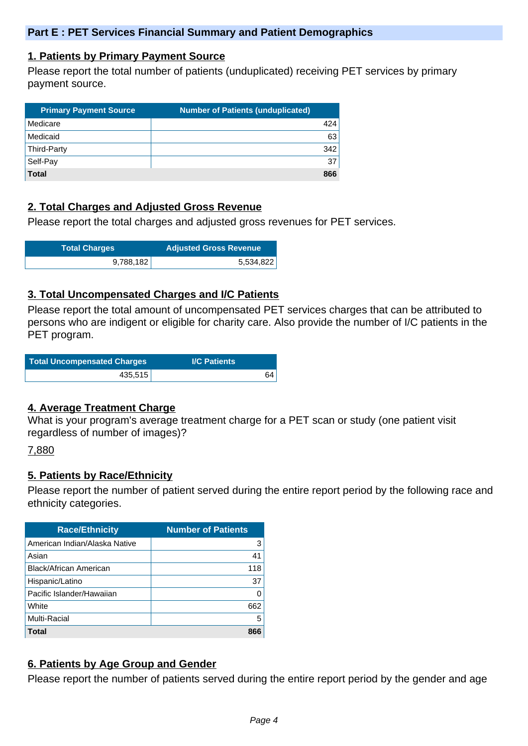### **1. Patients by Primary Payment Source**

Please report the total number of patients (unduplicated) receiving PET services by primary payment source.

| <b>Primary Payment Source</b> | <b>Number of Patients (unduplicated)</b> |
|-------------------------------|------------------------------------------|
| Medicare                      | 424                                      |
| Medicaid                      | 63                                       |
| Third-Party                   | 342                                      |
| Self-Pay                      | 37                                       |
| <b>Total</b>                  | 866                                      |

# **2. Total Charges and Adjusted Gross Revenue**

Please report the total charges and adjusted gross revenues for PET services.

| <b>Total Charges</b> | <b>Adjusted Gross Revenue</b> |
|----------------------|-------------------------------|
| 9,788,182            | 5,534,822                     |

### **3. Total Uncompensated Charges and I/C Patients**

Please report the total amount of uncompensated PET services charges that can be attributed to persons who are indigent or eligible for charity care. Also provide the number of I/C patients in the PET program.

| Total Uncompensated Charges | <b>I/C Patients</b> |
|-----------------------------|---------------------|
| 435,515                     | 64                  |

### **4. Average Treatment Charge**

What is your program's average treatment charge for a PET scan or study (one patient visit regardless of number of images)?

### 7,880

### **5. Patients by Race/Ethnicity**

Please report the number of patient served during the entire report period by the following race and ethnicity categories.

| <b>Race/Ethnicity</b>         | <b>Number of Patients</b> |
|-------------------------------|---------------------------|
| American Indian/Alaska Native | 3                         |
| Asian                         | 41                        |
| Black/African American        | 118                       |
| Hispanic/Latino               | 37                        |
| Pacific Islander/Hawaiian     | 0                         |
| White                         | 662                       |
| <b>Multi-Racial</b>           | 5                         |
| Total                         | 866                       |

# **6. Patients by Age Group and Gender**

Please report the number of patients served during the entire report period by the gender and age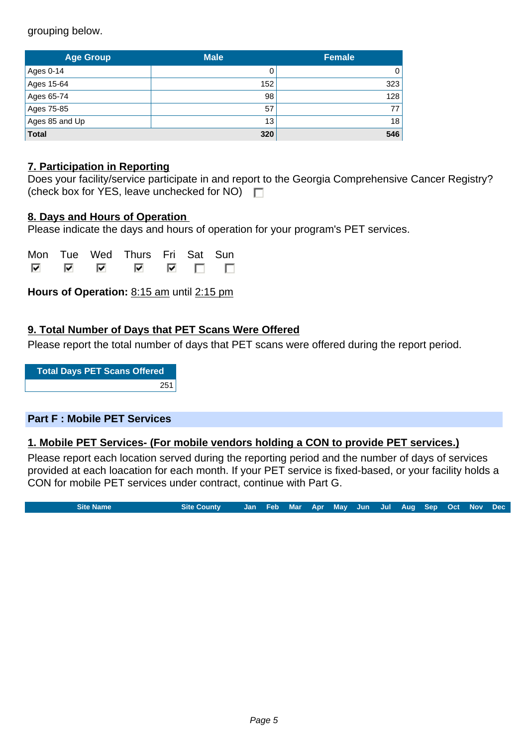grouping below.

| <b>Age Group</b> | <b>Male</b> | <b>Female</b> |  |
|------------------|-------------|---------------|--|
| Ages 0-14        |             | 0             |  |
| Ages 15-64       | 152         | 323           |  |
| Ages 65-74       | 98          | 128           |  |
| Ages 75-85       | 57          | 77            |  |
| Ages 85 and Up   | 13          | 18            |  |
| <b>Total</b>     | 320         | 546           |  |

# **7. Participation in Reporting**

|                                                    | Does your facility/service participate in and report to the Georgia Comprehensive Cancer Registry? |
|----------------------------------------------------|----------------------------------------------------------------------------------------------------|
| (check box for YES, leave unchecked for NO) $\Box$ |                                                                                                    |

### **8. Days and Hours of Operation**

Please indicate the days and hours of operation for your program's PET services.

|      | Mon Tue Wed Thurs Fri Sat Sun |  |                |
|------|-------------------------------|--|----------------|
| ाज ज | ◚                             |  | $\blacksquare$ |

**Hours of Operation:** 8:15 am until 2:15 pm

# **9. Total Number of Days that PET Scans Were Offered**

Please report the total number of days that PET scans were offered during the report period.

**Total Days PET Scans Offered** 251

### **Part F : Mobile PET Services**

### **1. Mobile PET Services- (For mobile vendors holding a CON to provide PET services.)**

Please report each location served during the reporting period and the number of days of services provided at each loacation for each month. If your PET service is fixed-based, or your facility holds a CON for mobile PET services under contract, continue with Part G.

**Site Name Site County Jan Feb Mar Apr May Jun Jul Aug Sep Oct Nov Dec**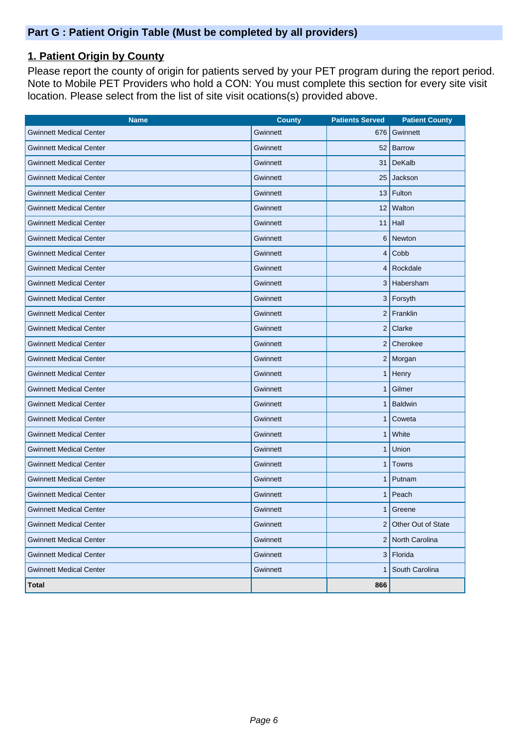# **1. Patient Origin by County**

Please report the county of origin for patients served by your PET program during the report period. Note to Mobile PET Providers who hold a CON: You must complete this section for every site visit location. Please select from the list of site visit ocations(s) provided above.

| <b>Name</b>                    | <b>County</b> | <b>Patients Served</b>  | <b>Patient County</b> |
|--------------------------------|---------------|-------------------------|-----------------------|
| <b>Gwinnett Medical Center</b> | Gwinnett      | 676                     | Gwinnett              |
| <b>Gwinnett Medical Center</b> | Gwinnett      | 52                      | Barrow                |
| <b>Gwinnett Medical Center</b> | Gwinnett      | 31                      | DeKalb                |
| <b>Gwinnett Medical Center</b> | Gwinnett      | 25                      | Jackson               |
| <b>Gwinnett Medical Center</b> | Gwinnett      | 13                      | Fulton                |
| <b>Gwinnett Medical Center</b> | Gwinnett      |                         | 12 Walton             |
| <b>Gwinnett Medical Center</b> | Gwinnett      | 11                      | Hall                  |
| <b>Gwinnett Medical Center</b> | Gwinnett      | 6                       | Newton                |
| <b>Gwinnett Medical Center</b> | Gwinnett      | $\overline{\mathbf{4}}$ | $\mathsf{Cobb}$       |
| <b>Gwinnett Medical Center</b> | Gwinnett      | $\overline{4}$          | Rockdale              |
| <b>Gwinnett Medical Center</b> | Gwinnett      | 3                       | Habersham             |
| <b>Gwinnett Medical Center</b> | Gwinnett      | 3                       | Forsyth               |
| <b>Gwinnett Medical Center</b> | Gwinnett      |                         | $2$ Franklin          |
| <b>Gwinnett Medical Center</b> | Gwinnett      |                         | $2$ Clarke            |
| <b>Gwinnett Medical Center</b> | Gwinnett      |                         | 2 Cherokee            |
| <b>Gwinnett Medical Center</b> | Gwinnett      |                         | $2$ Morgan            |
| <b>Gwinnett Medical Center</b> | Gwinnett      | 1                       | Henry                 |
| <b>Gwinnett Medical Center</b> | Gwinnett      | 1                       | Gilmer                |
| <b>Gwinnett Medical Center</b> | Gwinnett      |                         | <b>Baldwin</b>        |
| <b>Gwinnett Medical Center</b> | Gwinnett      | 1                       | Coweta                |
| <b>Gwinnett Medical Center</b> | Gwinnett      | 1                       | White                 |
| <b>Gwinnett Medical Center</b> | Gwinnett      | 1                       | Union                 |
| <b>Gwinnett Medical Center</b> | Gwinnett      | 1                       | Towns                 |
| <b>Gwinnett Medical Center</b> | Gwinnett      | 1                       | Putnam                |
| <b>Gwinnett Medical Center</b> | Gwinnett      |                         | Peach                 |
| <b>Gwinnett Medical Center</b> | Gwinnett      |                         | 1 Greene              |
| <b>Gwinnett Medical Center</b> | Gwinnett      |                         | 2 Other Out of State  |
| <b>Gwinnett Medical Center</b> | Gwinnett      |                         | 2 North Carolina      |
| <b>Gwinnett Medical Center</b> | Gwinnett      | 3                       | Florida               |
| <b>Gwinnett Medical Center</b> | Gwinnett      | 1                       | South Carolina        |
| <b>Total</b>                   |               | 866                     |                       |